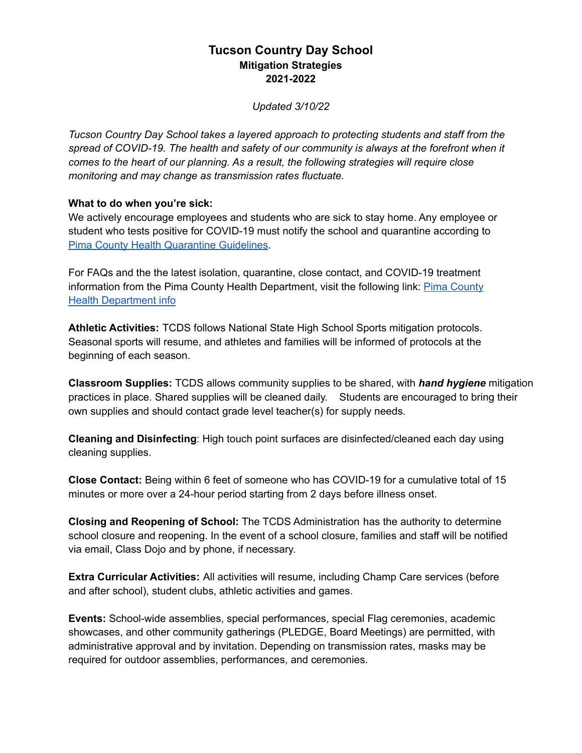## **Tucson Country Day School Mitigation Strategies 2021-2022**

*Updated 3/10/22*

*Tucson Country Day School takes a layered approach to protecting students and staff from the spread of COVID-19. The health and safety of our community is always at the forefront when it comes to the heart of our planning. As a result, the following strategies will require close monitoring and may change as transmission rates fluctuate.*

## **What to do when you're sick:**

We actively encourage employees and students who are sick to stay home. Any employee or student who tests positive for COVID-19 must notify the school and quarantine according to Pima County Health [Quarantine](https://webcms.pima.gov/cms/One.aspx?portalId=169&pageId=539073) Guidelines.

For FAQs and the the latest isolation, quarantine, close contact, and COVID-19 treatment information from the Pima [County](https://webcms.pima.gov/cms/One.aspx?portalId=169&pageId=539073) Health Department, visit the following link: Pima County Health [Department](https://webcms.pima.gov/cms/One.aspx?portalId=169&pageId=539073) info

**Athletic Activities:** TCDS follows National State High School Sports mitigation protocols. Seasonal sports will resume, and athletes and families will be informed of protocols at the beginning of each season.

**Classroom Supplies:** TCDS allows community supplies to be shared, with *hand hygiene* mitigation practices in place. Shared supplies will be cleaned daily. Students are encouraged to bring their own supplies and should contact grade level teacher(s) for supply needs.

**Cleaning and Disinfecting**: High touch point surfaces are disinfected/cleaned each day using cleaning supplies.

**Close Contact:** Being within 6 feet of someone who has COVID-19 for a cumulative total of 15 minutes or more over a 24-hour period starting from 2 days before illness onset.

**Closing and Reopening of School:** The TCDS Administration has the authority to determine school closure and reopening. In the event of a school closure, families and staff will be notified via email, Class Dojo and by phone, if necessary.

**Extra Curricular Activities:** All activities will resume, including Champ Care services (before and after school), student clubs, athletic activities and games.

**Events:** School-wide assemblies, special performances, special Flag ceremonies, academic showcases, and other community gatherings (PLEDGE, Board Meetings) are permitted, with administrative approval and by invitation. Depending on transmission rates, masks may be required for outdoor assemblies, performances, and ceremonies.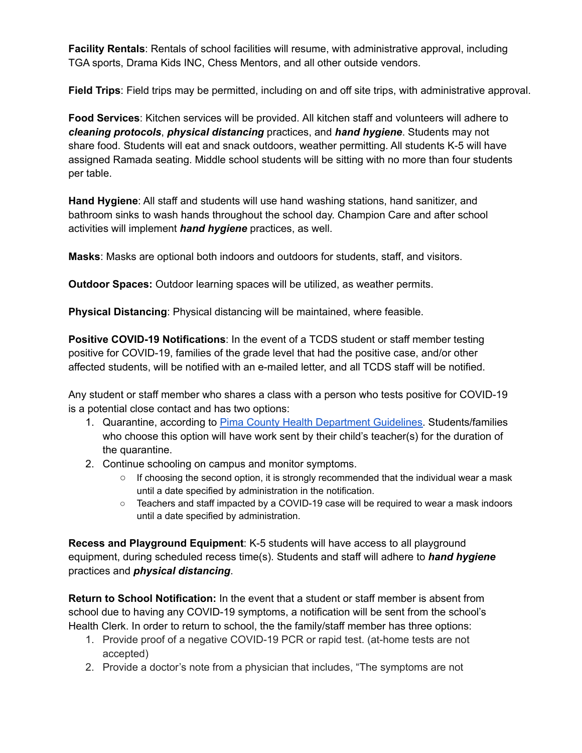**Facility Rentals**: Rentals of school facilities will resume, with administrative approval, including TGA sports, Drama Kids INC, Chess Mentors, and all other outside vendors.

**Field Trips**: Field trips may be permitted, including on and off site trips, with administrative approval.

**Food Services**: Kitchen services will be provided. All kitchen staff and volunteers will adhere to *cleaning protocols*, *physical distancing* practices, and *hand hygiene*. Students may not share food. Students will eat and snack outdoors, weather permitting. All students K-5 will have assigned Ramada seating. Middle school students will be sitting with no more than four students per table.

**Hand Hygiene**: All staff and students will use hand washing stations, hand sanitizer, and bathroom sinks to wash hands throughout the school day. Champion Care and after school activities will implement *hand hygiene* practices, as well.

**Masks**: Masks are optional both indoors and outdoors for students, staff, and visitors.

**Outdoor Spaces:** Outdoor learning spaces will be utilized, as weather permits.

**Physical Distancing**: Physical distancing will be maintained, where feasible.

**Positive COVID-19 Notifications**: In the event of a TCDS student or staff member testing positive for COVID-19, families of the grade level that had the positive case, and/or other affected students, will be notified with an e-mailed letter, and all TCDS staff will be notified.

Any student or staff member who shares a class with a person who tests positive for COVID-19 is a potential close contact and has two options:

- 1. Quarantine, according to Pima County Health [Department](https://webcms.pima.gov/cms/One.aspx?portalId=169&pageId=539073) Guidelines. Students/families who choose this option will have work sent by their child's teacher(s) for the duration of the quarantine.
- 2. Continue schooling on campus and monitor symptoms.
	- If choosing the second option, it is strongly recommended that the individual wear a mask until a date specified by administration in the notification.
	- Teachers and staff impacted by a COVID-19 case will be required to wear a mask indoors until a date specified by administration.

**Recess and Playground Equipment**: K-5 students will have access to all playground equipment, during scheduled recess time(s). Students and staff will adhere to *hand hygiene* practices and *physical distancing*.

**Return to School Notification:** In the event that a student or staff member is absent from school due to having any COVID-19 symptoms, a notification will be sent from the school's Health Clerk. In order to return to school, the the family/staff member has three options:

- 1. Provide proof of a negative COVID-19 PCR or rapid test. (at-home tests are not accepted)
- 2. Provide a doctor's note from a physician that includes, "The symptoms are not